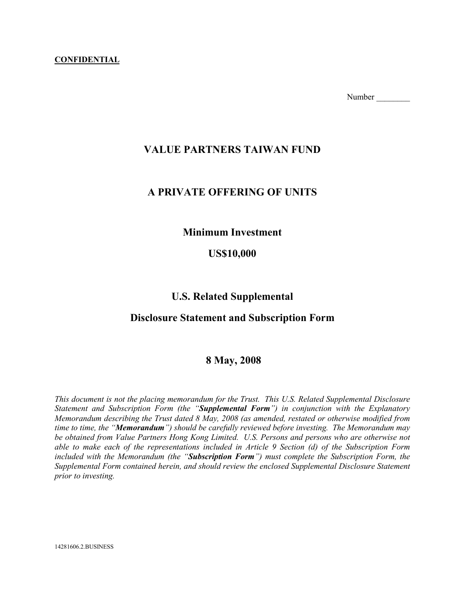#### CONFIDENTIAL

Number

## VALUE PARTNERS TAIWAN FUND

## A PRIVATE OFFERING OF UNITS

## Minimum Investment

## US\$10,000

## U.S. Related Supplemental

## Disclosure Statement and Subscription Form

## 8 May, 2008

This document is not the placing memorandum for the Trust. This U.S. Related Supplemental Disclosure Statement and Subscription Form (the "Supplemental Form") in conjunction with the Explanatory Memorandum describing the Trust dated 8 May, 2008 (as amended, restated or otherwise modified from time to time, the "**Memorandum**") should be carefully reviewed before investing. The Memorandum may be obtained from Value Partners Hong Kong Limited. U.S. Persons and persons who are otherwise not able to make each of the representations included in Article 9 Section (d) of the Subscription Form included with the Memorandum (the "Subscription Form") must complete the Subscription Form, the Supplemental Form contained herein, and should review the enclosed Supplemental Disclosure Statement prior to investing.

14281606.2.BUSINESS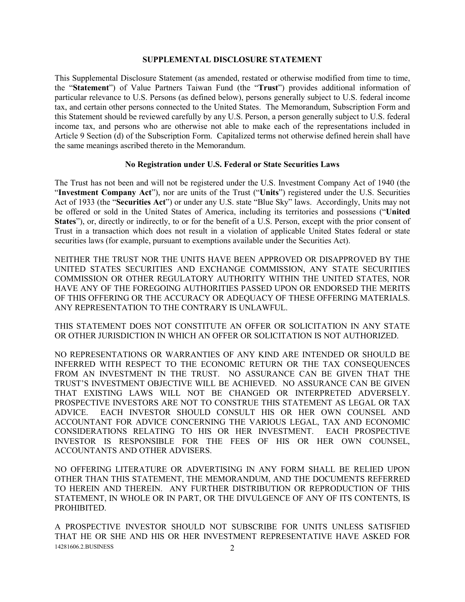#### SUPPLEMENTAL DISCLOSURE STATEMENT

This Supplemental Disclosure Statement (as amended, restated or otherwise modified from time to time, the "Statement") of Value Partners Taiwan Fund (the "Trust") provides additional information of particular relevance to U.S. Persons (as defined below), persons generally subject to U.S. federal income tax, and certain other persons connected to the United States. The Memorandum, Subscription Form and this Statement should be reviewed carefully by any U.S. Person, a person generally subject to U.S. federal income tax, and persons who are otherwise not able to make each of the representations included in Article 9 Section (d) of the Subscription Form. Capitalized terms not otherwise defined herein shall have the same meanings ascribed thereto in the Memorandum.

#### No Registration under U.S. Federal or State Securities Laws

The Trust has not been and will not be registered under the U.S. Investment Company Act of 1940 (the "Investment Company Act"), nor are units of the Trust ("Units") registered under the U.S. Securities Act of 1933 (the "Securities Act") or under any U.S. state "Blue Sky" laws. Accordingly, Units may not be offered or sold in the United States of America, including its territories and possessions ("United States"), or, directly or indirectly, to or for the benefit of a U.S. Person, except with the prior consent of Trust in a transaction which does not result in a violation of applicable United States federal or state securities laws (for example, pursuant to exemptions available under the Securities Act).

NEITHER THE TRUST NOR THE UNITS HAVE BEEN APPROVED OR DISAPPROVED BY THE UNITED STATES SECURITIES AND EXCHANGE COMMISSION, ANY STATE SECURITIES COMMISSION OR OTHER REGULATORY AUTHORITY WITHIN THE UNITED STATES, NOR HAVE ANY OF THE FOREGOING AUTHORITIES PASSED UPON OR ENDORSED THE MERITS OF THIS OFFERING OR THE ACCURACY OR ADEQUACY OF THESE OFFERING MATERIALS. ANY REPRESENTATION TO THE CONTRARY IS UNLAWFUL.

THIS STATEMENT DOES NOT CONSTITUTE AN OFFER OR SOLICITATION IN ANY STATE OR OTHER JURISDICTION IN WHICH AN OFFER OR SOLICITATION IS NOT AUTHORIZED.

NO REPRESENTATIONS OR WARRANTIES OF ANY KIND ARE INTENDED OR SHOULD BE INFERRED WITH RESPECT TO THE ECONOMIC RETURN OR THE TAX CONSEQUENCES FROM AN INVESTMENT IN THE TRUST. NO ASSURANCE CAN BE GIVEN THAT THE TRUST'S INVESTMENT OBJECTIVE WILL BE ACHIEVED. NO ASSURANCE CAN BE GIVEN THAT EXISTING LAWS WILL NOT BE CHANGED OR INTERPRETED ADVERSELY. PROSPECTIVE INVESTORS ARE NOT TO CONSTRUE THIS STATEMENT AS LEGAL OR TAX ADVICE. EACH INVESTOR SHOULD CONSULT HIS OR HER OWN COUNSEL AND ACCOUNTANT FOR ADVICE CONCERNING THE VARIOUS LEGAL, TAX AND ECONOMIC CONSIDERATIONS RELATING TO HIS OR HER INVESTMENT. EACH PROSPECTIVE INVESTOR IS RESPONSIBLE FOR THE FEES OF HIS OR HER OWN COUNSEL, ACCOUNTANTS AND OTHER ADVISERS.

NO OFFERING LITERATURE OR ADVERTISING IN ANY FORM SHALL BE RELIED UPON OTHER THAN THIS STATEMENT, THE MEMORANDUM, AND THE DOCUMENTS REFERRED TO HEREIN AND THEREIN. ANY FURTHER DISTRIBUTION OR REPRODUCTION OF THIS STATEMENT, IN WHOLE OR IN PART, OR THE DIVULGENCE OF ANY OF ITS CONTENTS, IS **PROHIBITED.** 

14281606.2.BUSINESS 2 A PROSPECTIVE INVESTOR SHOULD NOT SUBSCRIBE FOR UNITS UNLESS SATISFIED THAT HE OR SHE AND HIS OR HER INVESTMENT REPRESENTATIVE HAVE ASKED FOR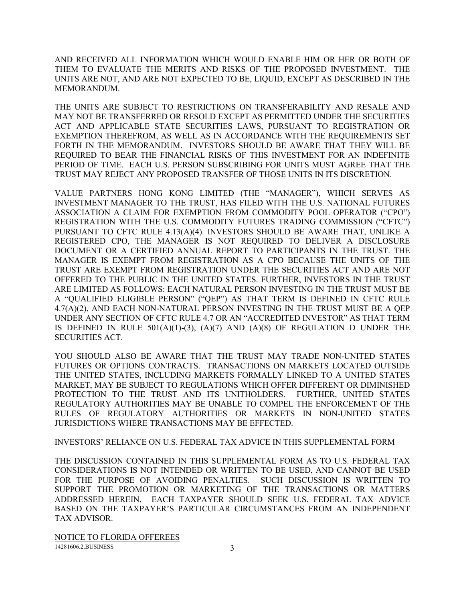AND RECEIVED ALL INFORMATION WHICH WOULD ENABLE HIM OR HER OR BOTH OF THEM TO EVALUATE THE MERITS AND RISKS OF THE PROPOSED INVESTMENT. THE UNITS ARE NOT, AND ARE NOT EXPECTED TO BE, LIQUID, EXCEPT AS DESCRIBED IN THE MEMORANDUM.

THE UNITS ARE SUBJECT TO RESTRICTIONS ON TRANSFERABILITY AND RESALE AND MAY NOT BE TRANSFERRED OR RESOLD EXCEPT AS PERMITTED UNDER THE SECURITIES ACT AND APPLICABLE STATE SECURITIES LAWS, PURSUANT TO REGISTRATION OR EXEMPTION THEREFROM, AS WELL AS IN ACCORDANCE WITH THE REQUIREMENTS SET FORTH IN THE MEMORANDUM. INVESTORS SHOULD BE AWARE THAT THEY WILL BE REQUIRED TO BEAR THE FINANCIAL RISKS OF THIS INVESTMENT FOR AN INDEFINITE PERIOD OF TIME. EACH U.S. PERSON SUBSCRIBING FOR UNITS MUST AGREE THAT THE TRUST MAY REJECT ANY PROPOSED TRANSFER OF THOSE UNITS IN ITS DISCRETION.

VALUE PARTNERS HONG KONG LIMITED (THE "MANAGER"), WHICH SERVES AS INVESTMENT MANAGER TO THE TRUST, HAS FILED WITH THE U.S. NATIONAL FUTURES ASSOCIATION A CLAIM FOR EXEMPTION FROM COMMODITY POOL OPERATOR ("CPO") REGISTRATION WITH THE U.S. COMMODITY FUTURES TRADING COMMISSION ("CFTC") PURSUANT TO CFTC RULE 4.13(A)(4). INVESTORS SHOULD BE AWARE THAT, UNLIKE A REGISTERED CPO, THE MANAGER IS NOT REQUIRED TO DELIVER A DISCLOSURE DOCUMENT OR A CERTIFIED ANNUAL REPORT TO PARTICIPANTS IN THE TRUST. THE MANAGER IS EXEMPT FROM REGISTRATION AS A CPO BECAUSE THE UNITS OF THE TRUST ARE EXEMPT FROM REGISTRATION UNDER THE SECURITIES ACT AND ARE NOT OFFERED TO THE PUBLIC IN THE UNITED STATES. FURTHER, INVESTORS IN THE TRUST ARE LIMITED AS FOLLOWS: EACH NATURAL PERSON INVESTING IN THE TRUST MUST BE A "QUALIFIED ELIGIBLE PERSON" ("QEP") AS THAT TERM IS DEFINED IN CFTC RULE 4.7(A)(2), AND EACH NON-NATURAL PERSON INVESTING IN THE TRUST MUST BE A QEP UNDER ANY SECTION OF CFTC RULE 4.7 OR AN "ACCREDITED INVESTOR" AS THAT TERM IS DEFINED IN RULE  $501(A)(1)-(3)$ ,  $(A)(7)$  AND  $(A)(8)$  OF REGULATION D UNDER THE SECURITIES ACT.

YOU SHOULD ALSO BE AWARE THAT THE TRUST MAY TRADE NON-UNITED STATES FUTURES OR OPTIONS CONTRACTS. TRANSACTIONS ON MARKETS LOCATED OUTSIDE THE UNITED STATES, INCLUDING MARKETS FORMALLY LINKED TO A UNITED STATES MARKET, MAY BE SUBJECT TO REGULATIONS WHICH OFFER DIFFERENT OR DIMINISHED PROTECTION TO THE TRUST AND ITS UNITHOLDERS. FURTHER, UNITED STATES REGULATORY AUTHORITIES MAY BE UNABLE TO COMPEL THE ENFORCEMENT OF THE RULES OF REGULATORY AUTHORITIES OR MARKETS IN NON-UNITED STATES JURISDICTIONS WHERE TRANSACTIONS MAY BE EFFECTED.

### INVESTORS' RELIANCE ON U.S. FEDERAL TAX ADVICE IN THIS SUPPLEMENTAL FORM

THE DISCUSSION CONTAINED IN THIS SUPPLEMENTAL FORM AS TO U.S. FEDERAL TAX CONSIDERATIONS IS NOT INTENDED OR WRITTEN TO BE USED, AND CANNOT BE USED FOR THE PURPOSE OF AVOIDING PENALTIES. SUCH DISCUSSION IS WRITTEN TO SUPPORT THE PROMOTION OR MARKETING OF THE TRANSACTIONS OR MATTERS ADDRESSED HEREIN. EACH TAXPAYER SHOULD SEEK U.S. FEDERAL TAX ADVICE BASED ON THE TAXPAYER'S PARTICULAR CIRCUMSTANCES FROM AN INDEPENDENT TAX ADVISOR.

NOTICE TO FLORIDA OFFEREES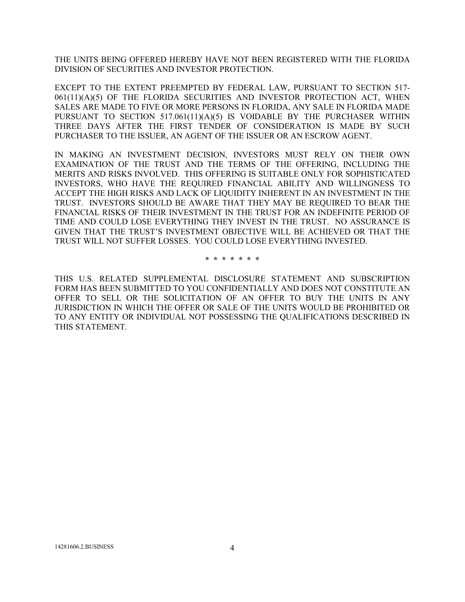THE UNITS BEING OFFERED HEREBY HAVE NOT BEEN REGISTERED WITH THE FLORIDA DIVISION OF SECURITIES AND INVESTOR PROTECTION.

EXCEPT TO THE EXTENT PREEMPTED BY FEDERAL LAW, PURSUANT TO SECTION 517- 061(11)(A)(5) OF THE FLORIDA SECURITIES AND INVESTOR PROTECTION ACT, WHEN SALES ARE MADE TO FIVE OR MORE PERSONS IN FLORIDA, ANY SALE IN FLORIDA MADE PURSUANT TO SECTION 517.061(11)(A)(5) IS VOIDABLE BY THE PURCHASER WITHIN THREE DAYS AFTER THE FIRST TENDER OF CONSIDERATION IS MADE BY SUCH PURCHASER TO THE ISSUER, AN AGENT OF THE ISSUER OR AN ESCROW AGENT.

IN MAKING AN INVESTMENT DECISION, INVESTORS MUST RELY ON THEIR OWN EXAMINATION OF THE TRUST AND THE TERMS OF THE OFFERING, INCLUDING THE MERITS AND RISKS INVOLVED. THIS OFFERING IS SUITABLE ONLY FOR SOPHISTICATED INVESTORS, WHO HAVE THE REQUIRED FINANCIAL ABILITY AND WILLINGNESS TO ACCEPT THE HIGH RISKS AND LACK OF LIQUIDITY INHERENT IN AN INVESTMENT IN THE TRUST. INVESTORS SHOULD BE AWARE THAT THEY MAY BE REQUIRED TO BEAR THE FINANCIAL RISKS OF THEIR INVESTMENT IN THE TRUST FOR AN INDEFINITE PERIOD OF TIME AND COULD LOSE EVERYTHING THEY INVEST IN THE TRUST. NO ASSURANCE IS GIVEN THAT THE TRUST'S INVESTMENT OBJECTIVE WILL BE ACHIEVED OR THAT THE TRUST WILL NOT SUFFER LOSSES. YOU COULD LOSE EVERYTHING INVESTED.

\* \* \* \* \* \* \*

THIS U.S. RELATED SUPPLEMENTAL DISCLOSURE STATEMENT AND SUBSCRIPTION FORM HAS BEEN SUBMITTED TO YOU CONFIDENTIALLY AND DOES NOT CONSTITUTE AN OFFER TO SELL OR THE SOLICITATION OF AN OFFER TO BUY THE UNITS IN ANY JURISDICTION IN WHICH THE OFFER OR SALE OF THE UNITS WOULD BE PROHIBITED OR TO ANY ENTITY OR INDIVIDUAL NOT POSSESSING THE QUALIFICATIONS DESCRIBED IN THIS STATEMENT.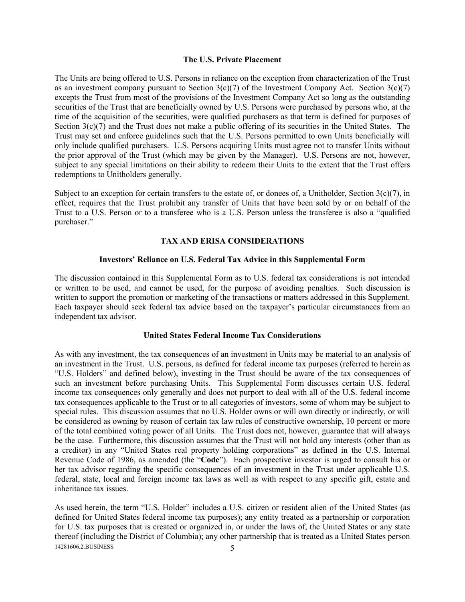#### The U.S. Private Placement

The Units are being offered to U.S. Persons in reliance on the exception from characterization of the Trust as an investment company pursuant to Section  $3(c)(7)$  of the Investment Company Act. Section  $3(c)(7)$ excepts the Trust from most of the provisions of the Investment Company Act so long as the outstanding securities of the Trust that are beneficially owned by U.S. Persons were purchased by persons who, at the time of the acquisition of the securities, were qualified purchasers as that term is defined for purposes of Section  $3(c)(7)$  and the Trust does not make a public offering of its securities in the United States. The Trust may set and enforce guidelines such that the U.S. Persons permitted to own Units beneficially will only include qualified purchasers. U.S. Persons acquiring Units must agree not to transfer Units without the prior approval of the Trust (which may be given by the Manager). U.S. Persons are not, however, subject to any special limitations on their ability to redeem their Units to the extent that the Trust offers redemptions to Unitholders generally.

Subject to an exception for certain transfers to the estate of, or donees of, a Unitholder, Section 3(c)(7), in effect, requires that the Trust prohibit any transfer of Units that have been sold by or on behalf of the Trust to a U.S. Person or to a transferee who is a U.S. Person unless the transferee is also a "qualified purchaser."

#### TAX AND ERISA CONSIDERATIONS

#### Investors' Reliance on U.S. Federal Tax Advice in this Supplemental Form

The discussion contained in this Supplemental Form as to U.S. federal tax considerations is not intended or written to be used, and cannot be used, for the purpose of avoiding penalties. Such discussion is written to support the promotion or marketing of the transactions or matters addressed in this Supplement. Each taxpayer should seek federal tax advice based on the taxpayer's particular circumstances from an independent tax advisor.

#### United States Federal Income Tax Considerations

As with any investment, the tax consequences of an investment in Units may be material to an analysis of an investment in the Trust. U.S. persons, as defined for federal income tax purposes (referred to herein as "U.S. Holders" and defined below), investing in the Trust should be aware of the tax consequences of such an investment before purchasing Units. This Supplemental Form discusses certain U.S. federal income tax consequences only generally and does not purport to deal with all of the U.S. federal income tax consequences applicable to the Trust or to all categories of investors, some of whom may be subject to special rules. This discussion assumes that no U.S. Holder owns or will own directly or indirectly, or will be considered as owning by reason of certain tax law rules of constructive ownership, 10 percent or more of the total combined voting power of all Units. The Trust does not, however, guarantee that will always be the case. Furthermore, this discussion assumes that the Trust will not hold any interests (other than as a creditor) in any "United States real property holding corporations" as defined in the U.S. Internal Revenue Code of 1986, as amended (the "Code"). Each prospective investor is urged to consult his or her tax advisor regarding the specific consequences of an investment in the Trust under applicable U.S. federal, state, local and foreign income tax laws as well as with respect to any specific gift, estate and inheritance tax issues.

14281606.2.BUSINESS 5 As used herein, the term "U.S. Holder" includes a U.S. citizen or resident alien of the United States (as defined for United States federal income tax purposes); any entity treated as a partnership or corporation for U.S. tax purposes that is created or organized in, or under the laws of, the United States or any state thereof (including the District of Columbia); any other partnership that is treated as a United States person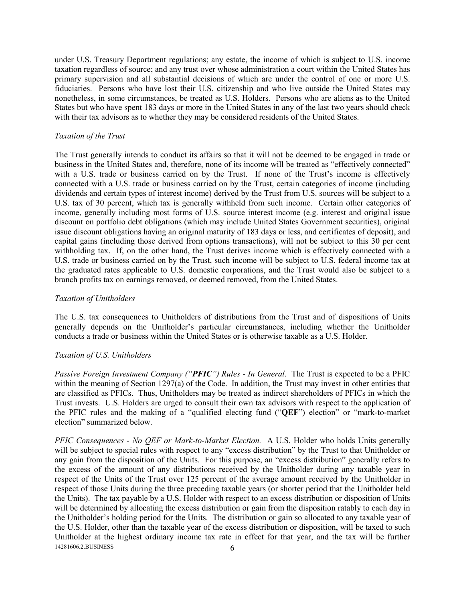under U.S. Treasury Department regulations; any estate, the income of which is subject to U.S. income taxation regardless of source; and any trust over whose administration a court within the United States has primary supervision and all substantial decisions of which are under the control of one or more U.S. fiduciaries. Persons who have lost their U.S. citizenship and who live outside the United States may nonetheless, in some circumstances, be treated as U.S. Holders. Persons who are aliens as to the United States but who have spent 183 days or more in the United States in any of the last two years should check with their tax advisors as to whether they may be considered residents of the United States.

#### Taxation of the Trust

The Trust generally intends to conduct its affairs so that it will not be deemed to be engaged in trade or business in the United States and, therefore, none of its income will be treated as "effectively connected" with a U.S. trade or business carried on by the Trust. If none of the Trust's income is effectively connected with a U.S. trade or business carried on by the Trust, certain categories of income (including dividends and certain types of interest income) derived by the Trust from U.S. sources will be subject to a U.S. tax of 30 percent, which tax is generally withheld from such income. Certain other categories of income, generally including most forms of U.S. source interest income (e.g. interest and original issue discount on portfolio debt obligations (which may include United States Government securities), original issue discount obligations having an original maturity of 183 days or less, and certificates of deposit), and capital gains (including those derived from options transactions), will not be subject to this 30 per cent withholding tax. If, on the other hand, the Trust derives income which is effectively connected with a U.S. trade or business carried on by the Trust, such income will be subject to U.S. federal income tax at the graduated rates applicable to U.S. domestic corporations, and the Trust would also be subject to a branch profits tax on earnings removed, or deemed removed, from the United States.

#### Taxation of Unitholders

The U.S. tax consequences to Unitholders of distributions from the Trust and of dispositions of Units generally depends on the Unitholder's particular circumstances, including whether the Unitholder conducts a trade or business within the United States or is otherwise taxable as a U.S. Holder.

#### Taxation of U.S. Unitholders

Passive Foreign Investment Company ("PFIC") Rules - In General. The Trust is expected to be a PFIC within the meaning of Section 1297(a) of the Code. In addition, the Trust may invest in other entities that are classified as PFICs. Thus, Unitholders may be treated as indirect shareholders of PFICs in which the Trust invests. U.S. Holders are urged to consult their own tax advisors with respect to the application of the PFIC rules and the making of a "qualified electing fund ("QEF") election" or "mark-to-market election" summarized below.

14281606.2.BUSINESS 6 PFIC Consequences - No QEF or Mark-to-Market Election. A U.S. Holder who holds Units generally will be subject to special rules with respect to any "excess distribution" by the Trust to that Unitholder or any gain from the disposition of the Units. For this purpose, an "excess distribution" generally refers to the excess of the amount of any distributions received by the Unitholder during any taxable year in respect of the Units of the Trust over 125 percent of the average amount received by the Unitholder in respect of those Units during the three preceding taxable years (or shorter period that the Unitholder held the Units). The tax payable by a U.S. Holder with respect to an excess distribution or disposition of Units will be determined by allocating the excess distribution or gain from the disposition ratably to each day in the Unitholder's holding period for the Units. The distribution or gain so allocated to any taxable year of the U.S. Holder, other than the taxable year of the excess distribution or disposition, will be taxed to such Unitholder at the highest ordinary income tax rate in effect for that year, and the tax will be further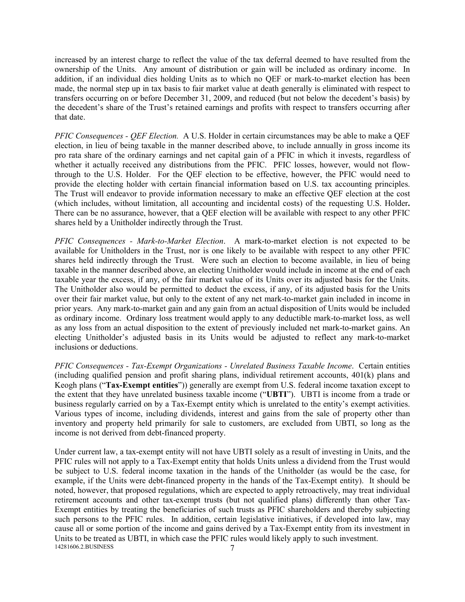increased by an interest charge to reflect the value of the tax deferral deemed to have resulted from the ownership of the Units. Any amount of distribution or gain will be included as ordinary income. In addition, if an individual dies holding Units as to which no QEF or mark-to-market election has been made, the normal step up in tax basis to fair market value at death generally is eliminated with respect to transfers occurring on or before December 31, 2009, and reduced (but not below the decedent's basis) by the decedent's share of the Trust's retained earnings and profits with respect to transfers occurring after that date.

PFIC Consequences - QEF Election. A U.S. Holder in certain circumstances may be able to make a QEF election, in lieu of being taxable in the manner described above, to include annually in gross income its pro rata share of the ordinary earnings and net capital gain of a PFIC in which it invests, regardless of whether it actually received any distributions from the PFIC. PFIC losses, however, would not flowthrough to the U.S. Holder. For the QEF election to be effective, however, the PFIC would need to provide the electing holder with certain financial information based on U.S. tax accounting principles. The Trust will endeavor to provide information necessary to make an effective QEF election at the cost (which includes, without limitation, all accounting and incidental costs) of the requesting U.S. Holder. There can be no assurance, however, that a QEF election will be available with respect to any other PFIC shares held by a Unitholder indirectly through the Trust.

PFIC Consequences - Mark-to-Market Election. A mark-to-market election is not expected to be available for Unitholders in the Trust, nor is one likely to be available with respect to any other PFIC shares held indirectly through the Trust. Were such an election to become available, in lieu of being taxable in the manner described above, an electing Unitholder would include in income at the end of each taxable year the excess, if any, of the fair market value of its Units over its adjusted basis for the Units. The Unitholder also would be permitted to deduct the excess, if any, of its adjusted basis for the Units over their fair market value, but only to the extent of any net mark-to-market gain included in income in prior years. Any mark-to-market gain and any gain from an actual disposition of Units would be included as ordinary income. Ordinary loss treatment would apply to any deductible mark-to-market loss, as well as any loss from an actual disposition to the extent of previously included net mark-to-market gains. An electing Unitholder's adjusted basis in its Units would be adjusted to reflect any mark-to-market inclusions or deductions.

PFIC Consequences - Tax-Exempt Organizations - Unrelated Business Taxable Income. Certain entities (including qualified pension and profit sharing plans, individual retirement accounts, 401(k) plans and Keogh plans ("Tax-Exempt entities")) generally are exempt from U.S. federal income taxation except to the extent that they have unrelated business taxable income ("UBTI"). UBTI is income from a trade or business regularly carried on by a Tax-Exempt entity which is unrelated to the entity's exempt activities. Various types of income, including dividends, interest and gains from the sale of property other than inventory and property held primarily for sale to customers, are excluded from UBTI, so long as the income is not derived from debt-financed property.

14281606.2.BUSINESS 7 Under current law, a tax-exempt entity will not have UBTI solely as a result of investing in Units, and the PFIC rules will not apply to a Tax-Exempt entity that holds Units unless a dividend from the Trust would be subject to U.S. federal income taxation in the hands of the Unitholder (as would be the case, for example, if the Units were debt-financed property in the hands of the Tax-Exempt entity). It should be noted, however, that proposed regulations, which are expected to apply retroactively, may treat individual retirement accounts and other tax-exempt trusts (but not qualified plans) differently than other Tax-Exempt entities by treating the beneficiaries of such trusts as PFIC shareholders and thereby subjecting such persons to the PFIC rules. In addition, certain legislative initiatives, if developed into law, may cause all or some portion of the income and gains derived by a Tax-Exempt entity from its investment in Units to be treated as UBTI, in which case the PFIC rules would likely apply to such investment.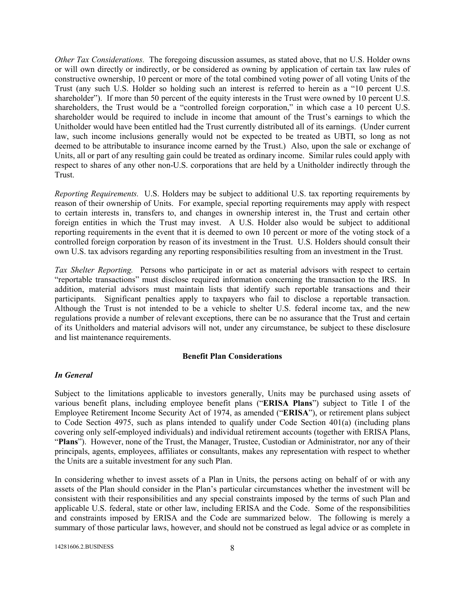Other Tax Considerations. The foregoing discussion assumes, as stated above, that no U.S. Holder owns or will own directly or indirectly, or be considered as owning by application of certain tax law rules of constructive ownership, 10 percent or more of the total combined voting power of all voting Units of the Trust (any such U.S. Holder so holding such an interest is referred to herein as a "10 percent U.S. shareholder"). If more than 50 percent of the equity interests in the Trust were owned by 10 percent U.S. shareholders, the Trust would be a "controlled foreign corporation," in which case a 10 percent U.S. shareholder would be required to include in income that amount of the Trust's earnings to which the Unitholder would have been entitled had the Trust currently distributed all of its earnings. (Under current law, such income inclusions generally would not be expected to be treated as UBTI, so long as not deemed to be attributable to insurance income earned by the Trust.) Also, upon the sale or exchange of Units, all or part of any resulting gain could be treated as ordinary income. Similar rules could apply with respect to shares of any other non-U.S. corporations that are held by a Unitholder indirectly through the Trust.

Reporting Requirements. U.S. Holders may be subject to additional U.S. tax reporting requirements by reason of their ownership of Units. For example, special reporting requirements may apply with respect to certain interests in, transfers to, and changes in ownership interest in, the Trust and certain other foreign entities in which the Trust may invest. A U.S. Holder also would be subject to additional reporting requirements in the event that it is deemed to own 10 percent or more of the voting stock of a controlled foreign corporation by reason of its investment in the Trust. U.S. Holders should consult their own U.S. tax advisors regarding any reporting responsibilities resulting from an investment in the Trust.

Tax Shelter Reporting. Persons who participate in or act as material advisors with respect to certain "reportable transactions" must disclose required information concerning the transaction to the IRS. In addition, material advisors must maintain lists that identify such reportable transactions and their participants. Significant penalties apply to taxpayers who fail to disclose a reportable transaction. Although the Trust is not intended to be a vehicle to shelter U.S. federal income tax, and the new regulations provide a number of relevant exceptions, there can be no assurance that the Trust and certain of its Unitholders and material advisors will not, under any circumstance, be subject to these disclosure and list maintenance requirements.

#### Benefit Plan Considerations

#### In General

Subject to the limitations applicable to investors generally, Units may be purchased using assets of various benefit plans, including employee benefit plans ("ERISA Plans") subject to Title I of the Employee Retirement Income Security Act of 1974, as amended ("ERISA"), or retirement plans subject to Code Section 4975, such as plans intended to qualify under Code Section 401(a) (including plans covering only self-employed individuals) and individual retirement accounts (together with ERISA Plans, "Plans"). However, none of the Trust, the Manager, Trustee, Custodian or Administrator, nor any of their principals, agents, employees, affiliates or consultants, makes any representation with respect to whether the Units are a suitable investment for any such Plan.

In considering whether to invest assets of a Plan in Units, the persons acting on behalf of or with any assets of the Plan should consider in the Plan's particular circumstances whether the investment will be consistent with their responsibilities and any special constraints imposed by the terms of such Plan and applicable U.S. federal, state or other law, including ERISA and the Code. Some of the responsibilities and constraints imposed by ERISA and the Code are summarized below. The following is merely a summary of those particular laws, however, and should not be construed as legal advice or as complete in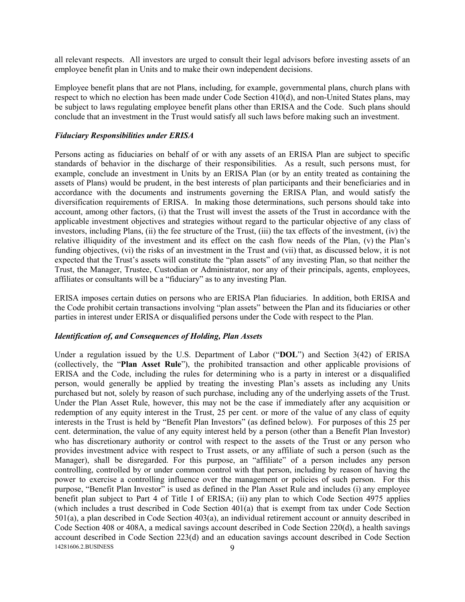all relevant respects. All investors are urged to consult their legal advisors before investing assets of an employee benefit plan in Units and to make their own independent decisions.

Employee benefit plans that are not Plans, including, for example, governmental plans, church plans with respect to which no election has been made under Code Section 410(d), and non-United States plans, may be subject to laws regulating employee benefit plans other than ERISA and the Code. Such plans should conclude that an investment in the Trust would satisfy all such laws before making such an investment.

#### Fiduciary Responsibilities under ERISA

Persons acting as fiduciaries on behalf of or with any assets of an ERISA Plan are subject to specific standards of behavior in the discharge of their responsibilities. As a result, such persons must, for example, conclude an investment in Units by an ERISA Plan (or by an entity treated as containing the assets of Plans) would be prudent, in the best interests of plan participants and their beneficiaries and in accordance with the documents and instruments governing the ERISA Plan, and would satisfy the diversification requirements of ERISA. In making those determinations, such persons should take into account, among other factors, (i) that the Trust will invest the assets of the Trust in accordance with the applicable investment objectives and strategies without regard to the particular objective of any class of investors, including Plans, (ii) the fee structure of the Trust, (iii) the tax effects of the investment, (iv) the relative illiquidity of the investment and its effect on the cash flow needs of the Plan, (v) the Plan's funding objectives, (vi) the risks of an investment in the Trust and (vii) that, as discussed below, it is not expected that the Trust's assets will constitute the "plan assets" of any investing Plan, so that neither the Trust, the Manager, Trustee, Custodian or Administrator, nor any of their principals, agents, employees, affiliates or consultants will be a "fiduciary" as to any investing Plan.

ERISA imposes certain duties on persons who are ERISA Plan fiduciaries. In addition, both ERISA and the Code prohibit certain transactions involving "plan assets" between the Plan and its fiduciaries or other parties in interest under ERISA or disqualified persons under the Code with respect to the Plan.

### Identification of, and Consequences of Holding, Plan Assets

14281606.2.BUSINESS 9 Under a regulation issued by the U.S. Department of Labor ("DOL") and Section 3(42) of ERISA (collectively, the "Plan Asset Rule"), the prohibited transaction and other applicable provisions of ERISA and the Code, including the rules for determining who is a party in interest or a disqualified person, would generally be applied by treating the investing Plan's assets as including any Units purchased but not, solely by reason of such purchase, including any of the underlying assets of the Trust. Under the Plan Asset Rule, however, this may not be the case if immediately after any acquisition or redemption of any equity interest in the Trust, 25 per cent. or more of the value of any class of equity interests in the Trust is held by "Benefit Plan Investors" (as defined below). For purposes of this 25 per cent. determination, the value of any equity interest held by a person (other than a Benefit Plan Investor) who has discretionary authority or control with respect to the assets of the Trust or any person who provides investment advice with respect to Trust assets, or any affiliate of such a person (such as the Manager), shall be disregarded. For this purpose, an "affiliate" of a person includes any person controlling, controlled by or under common control with that person, including by reason of having the power to exercise a controlling influence over the management or policies of such person. For this purpose, "Benefit Plan Investor" is used as defined in the Plan Asset Rule and includes (i) any employee benefit plan subject to Part 4 of Title I of ERISA; (ii) any plan to which Code Section 4975 applies (which includes a trust described in Code Section 401(a) that is exempt from tax under Code Section 501(a), a plan described in Code Section 403(a), an individual retirement account or annuity described in Code Section 408 or 408A, a medical savings account described in Code Section 220(d), a health savings account described in Code Section 223(d) and an education savings account described in Code Section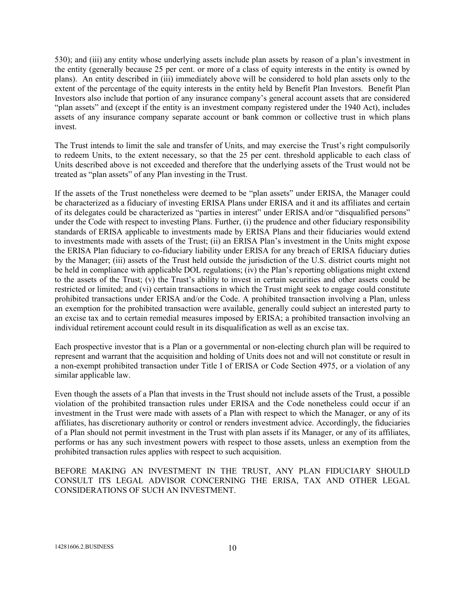530); and (iii) any entity whose underlying assets include plan assets by reason of a plan's investment in the entity (generally because 25 per cent. or more of a class of equity interests in the entity is owned by plans). An entity described in (iii) immediately above will be considered to hold plan assets only to the extent of the percentage of the equity interests in the entity held by Benefit Plan Investors. Benefit Plan Investors also include that portion of any insurance company's general account assets that are considered "plan assets" and (except if the entity is an investment company registered under the 1940 Act), includes assets of any insurance company separate account or bank common or collective trust in which plans invest.

The Trust intends to limit the sale and transfer of Units, and may exercise the Trust's right compulsorily to redeem Units, to the extent necessary, so that the 25 per cent. threshold applicable to each class of Units described above is not exceeded and therefore that the underlying assets of the Trust would not be treated as "plan assets" of any Plan investing in the Trust.

If the assets of the Trust nonetheless were deemed to be "plan assets" under ERISA, the Manager could be characterized as a fiduciary of investing ERISA Plans under ERISA and it and its affiliates and certain of its delegates could be characterized as "parties in interest" under ERISA and/or "disqualified persons" under the Code with respect to investing Plans. Further, (i) the prudence and other fiduciary responsibility standards of ERISA applicable to investments made by ERISA Plans and their fiduciaries would extend to investments made with assets of the Trust; (ii) an ERISA Plan's investment in the Units might expose the ERISA Plan fiduciary to co-fiduciary liability under ERISA for any breach of ERISA fiduciary duties by the Manager; (iii) assets of the Trust held outside the jurisdiction of the U.S. district courts might not be held in compliance with applicable DOL regulations; (iv) the Plan's reporting obligations might extend to the assets of the Trust; (v) the Trust's ability to invest in certain securities and other assets could be restricted or limited; and (vi) certain transactions in which the Trust might seek to engage could constitute prohibited transactions under ERISA and/or the Code. A prohibited transaction involving a Plan, unless an exemption for the prohibited transaction were available, generally could subject an interested party to an excise tax and to certain remedial measures imposed by ERISA; a prohibited transaction involving an individual retirement account could result in its disqualification as well as an excise tax.

Each prospective investor that is a Plan or a governmental or non-electing church plan will be required to represent and warrant that the acquisition and holding of Units does not and will not constitute or result in a non-exempt prohibited transaction under Title I of ERISA or Code Section 4975, or a violation of any similar applicable law.

Even though the assets of a Plan that invests in the Trust should not include assets of the Trust, a possible violation of the prohibited transaction rules under ERISA and the Code nonetheless could occur if an investment in the Trust were made with assets of a Plan with respect to which the Manager, or any of its affiliates, has discretionary authority or control or renders investment advice. Accordingly, the fiduciaries of a Plan should not permit investment in the Trust with plan assets if its Manager, or any of its affiliates, performs or has any such investment powers with respect to those assets, unless an exemption from the prohibited transaction rules applies with respect to such acquisition.

BEFORE MAKING AN INVESTMENT IN THE TRUST, ANY PLAN FIDUCIARY SHOULD CONSULT ITS LEGAL ADVISOR CONCERNING THE ERISA, TAX AND OTHER LEGAL CONSIDERATIONS OF SUCH AN INVESTMENT.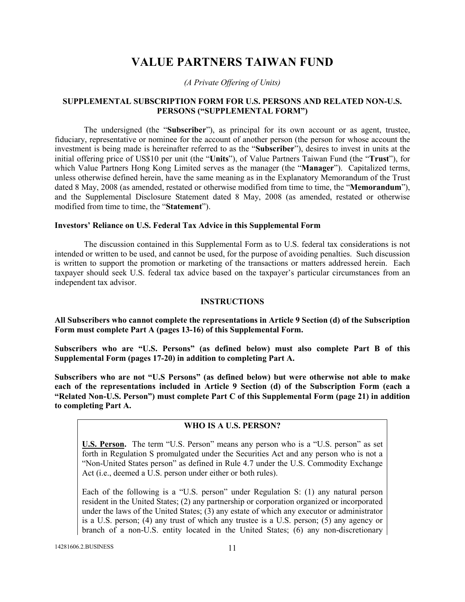# VALUE PARTNERS TAIWAN FUND

(A Private Offering of Units)

### SUPPLEMENTAL SUBSCRIPTION FORM FOR U.S. PERSONS AND RELATED NON-U.S. PERSONS ("SUPPLEMENTAL FORM")

The undersigned (the "Subscriber"), as principal for its own account or as agent, trustee, fiduciary, representative or nominee for the account of another person (the person for whose account the investment is being made is hereinafter referred to as the "Subscriber"), desires to invest in units at the initial offering price of US\$10 per unit (the "Units"), of Value Partners Taiwan Fund (the "Trust"), for which Value Partners Hong Kong Limited serves as the manager (the "**Manager**"). Capitalized terms, unless otherwise defined herein, have the same meaning as in the Explanatory Memorandum of the Trust dated 8 May, 2008 (as amended, restated or otherwise modified from time to time, the "**Memorandum**"), and the Supplemental Disclosure Statement dated 8 May, 2008 (as amended, restated or otherwise modified from time to time, the "Statement").

#### Investors' Reliance on U.S. Federal Tax Advice in this Supplemental Form

The discussion contained in this Supplemental Form as to U.S. federal tax considerations is not intended or written to be used, and cannot be used, for the purpose of avoiding penalties. Such discussion is written to support the promotion or marketing of the transactions or matters addressed herein. Each taxpayer should seek U.S. federal tax advice based on the taxpayer's particular circumstances from an independent tax advisor.

#### INSTRUCTIONS

All Subscribers who cannot complete the representations in Article 9 Section (d) of the Subscription Form must complete Part A (pages 13-16) of this Supplemental Form.

Subscribers who are "U.S. Persons" (as defined below) must also complete Part B of this Supplemental Form (pages 17-20) in addition to completing Part A.

Subscribers who are not "U.S Persons" (as defined below) but were otherwise not able to make each of the representations included in Article 9 Section (d) of the Subscription Form (each a "Related Non-U.S. Person") must complete Part C of this Supplemental Form (page 21) in addition to completing Part A.

#### WHO IS A U.S. PERSON?

U.S. Person. The term "U.S. Person" means any person who is a "U.S. person" as set forth in Regulation S promulgated under the Securities Act and any person who is not a "Non-United States person" as defined in Rule 4.7 under the U.S. Commodity Exchange Act (i.e., deemed a U.S. person under either or both rules).

Each of the following is a "U.S. person" under Regulation S: (1) any natural person resident in the United States; (2) any partnership or corporation organized or incorporated under the laws of the United States; (3) any estate of which any executor or administrator is a U.S. person; (4) any trust of which any trustee is a U.S. person; (5) any agency or branch of a non-U.S. entity located in the United States; (6) any non-discretionary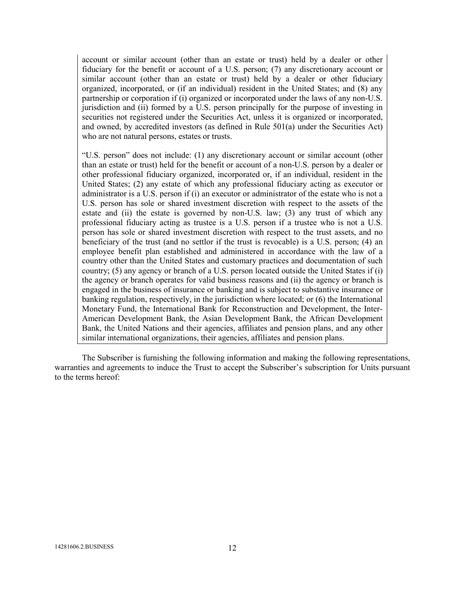account or similar account (other than an estate or trust) held by a dealer or other fiduciary for the benefit or account of a U.S. person; (7) any discretionary account or similar account (other than an estate or trust) held by a dealer or other fiduciary organized, incorporated, or (if an individual) resident in the United States; and (8) any partnership or corporation if (i) organized or incorporated under the laws of any non-U.S. jurisdiction and (ii) formed by a U.S. person principally for the purpose of investing in securities not registered under the Securities Act, unless it is organized or incorporated, and owned, by accredited investors (as defined in Rule 501(a) under the Securities Act) who are not natural persons, estates or trusts.

"U.S. person" does not include: (1) any discretionary account or similar account (other than an estate or trust) held for the benefit or account of a non-U.S. person by a dealer or other professional fiduciary organized, incorporated or, if an individual, resident in the United States; (2) any estate of which any professional fiduciary acting as executor or administrator is a U.S. person if (i) an executor or administrator of the estate who is not a U.S. person has sole or shared investment discretion with respect to the assets of the estate and (ii) the estate is governed by non-U.S. law; (3) any trust of which any professional fiduciary acting as trustee is a U.S. person if a trustee who is not a U.S. person has sole or shared investment discretion with respect to the trust assets, and no beneficiary of the trust (and no settlor if the trust is revocable) is a U.S. person; (4) an employee benefit plan established and administered in accordance with the law of a country other than the United States and customary practices and documentation of such country; (5) any agency or branch of a U.S. person located outside the United States if (i) the agency or branch operates for valid business reasons and (ii) the agency or branch is engaged in the business of insurance or banking and is subject to substantive insurance or banking regulation, respectively, in the jurisdiction where located; or (6) the International Monetary Fund, the International Bank for Reconstruction and Development, the Inter-American Development Bank, the Asian Development Bank, the African Development Bank, the United Nations and their agencies, affiliates and pension plans, and any other similar international organizations, their agencies, affiliates and pension plans.

The Subscriber is furnishing the following information and making the following representations, warranties and agreements to induce the Trust to accept the Subscriber's subscription for Units pursuant to the terms hereof: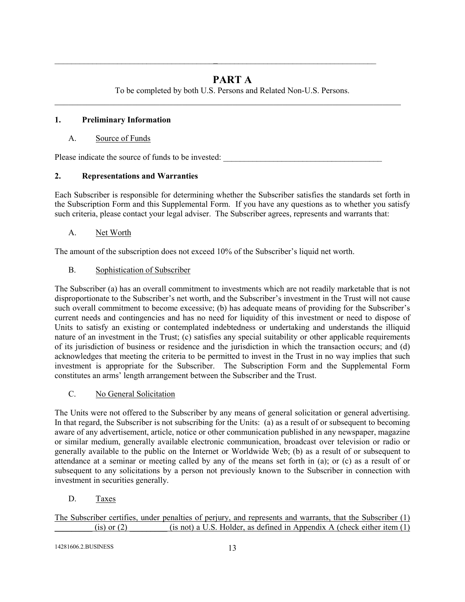## PART A

 $\_$ 

To be completed by both U.S. Persons and Related Non-U.S. Persons. \_\_\_\_\_\_\_\_\_\_\_\_\_\_\_\_\_\_\_\_\_\_\_\_\_\_\_\_\_\_\_\_\_\_\_\_\_\_\_\_\_\_\_\_\_\_\_\_\_\_\_\_\_\_\_\_\_\_\_\_\_\_\_\_\_\_\_\_\_\_\_\_\_\_\_\_

## 1. Preliminary Information

## A. Source of Funds

Please indicate the source of funds to be invested:

## 2. Representations and Warranties

Each Subscriber is responsible for determining whether the Subscriber satisfies the standards set forth in the Subscription Form and this Supplemental Form. If you have any questions as to whether you satisfy such criteria, please contact your legal adviser. The Subscriber agrees, represents and warrants that:

## A. Net Worth

The amount of the subscription does not exceed 10% of the Subscriber's liquid net worth.

## B. Sophistication of Subscriber

The Subscriber (a) has an overall commitment to investments which are not readily marketable that is not disproportionate to the Subscriber's net worth, and the Subscriber's investment in the Trust will not cause such overall commitment to become excessive; (b) has adequate means of providing for the Subscriber's current needs and contingencies and has no need for liquidity of this investment or need to dispose of Units to satisfy an existing or contemplated indebtedness or undertaking and understands the illiquid nature of an investment in the Trust; (c) satisfies any special suitability or other applicable requirements of its jurisdiction of business or residence and the jurisdiction in which the transaction occurs; and (d) acknowledges that meeting the criteria to be permitted to invest in the Trust in no way implies that such investment is appropriate for the Subscriber. The Subscription Form and the Supplemental Form constitutes an arms' length arrangement between the Subscriber and the Trust.

## C. No General Solicitation

The Units were not offered to the Subscriber by any means of general solicitation or general advertising. In that regard, the Subscriber is not subscribing for the Units: (a) as a result of or subsequent to becoming aware of any advertisement, article, notice or other communication published in any newspaper, magazine or similar medium, generally available electronic communication, broadcast over television or radio or generally available to the public on the Internet or Worldwide Web; (b) as a result of or subsequent to attendance at a seminar or meeting called by any of the means set forth in (a); or (c) as a result of or subsequent to any solicitations by a person not previously known to the Subscriber in connection with investment in securities generally.

D. Taxes

The Subscriber certifies, under penalties of perjury, and represents and warrants, that the Subscriber (1)  $(i)$  or (2)  $(i)$  (is not) a U.S. Holder, as defined in Appendix A (check either item (1)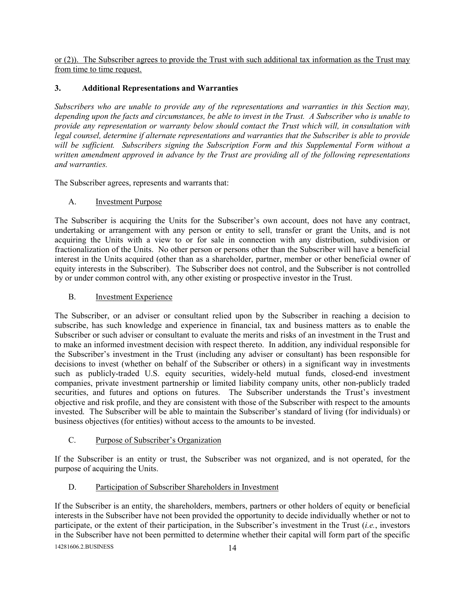or (2)). The Subscriber agrees to provide the Trust with such additional tax information as the Trust may from time to time request.

## 3. Additional Representations and Warranties

Subscribers who are unable to provide any of the representations and warranties in this Section may, depending upon the facts and circumstances, be able to invest in the Trust. A Subscriber who is unable to provide any representation or warranty below should contact the Trust which will, in consultation with legal counsel, determine if alternate representations and warranties that the Subscriber is able to provide will be sufficient. Subscribers signing the Subscription Form and this Supplemental Form without a written amendment approved in advance by the Trust are providing all of the following representations and warranties.

The Subscriber agrees, represents and warrants that:

## A. Investment Purpose

The Subscriber is acquiring the Units for the Subscriber's own account, does not have any contract, undertaking or arrangement with any person or entity to sell, transfer or grant the Units, and is not acquiring the Units with a view to or for sale in connection with any distribution, subdivision or fractionalization of the Units. No other person or persons other than the Subscriber will have a beneficial interest in the Units acquired (other than as a shareholder, partner, member or other beneficial owner of equity interests in the Subscriber). The Subscriber does not control, and the Subscriber is not controlled by or under common control with, any other existing or prospective investor in the Trust.

## B. Investment Experience

The Subscriber, or an adviser or consultant relied upon by the Subscriber in reaching a decision to subscribe, has such knowledge and experience in financial, tax and business matters as to enable the Subscriber or such adviser or consultant to evaluate the merits and risks of an investment in the Trust and to make an informed investment decision with respect thereto. In addition, any individual responsible for the Subscriber's investment in the Trust (including any adviser or consultant) has been responsible for decisions to invest (whether on behalf of the Subscriber or others) in a significant way in investments such as publicly-traded U.S. equity securities, widely-held mutual funds, closed-end investment companies, private investment partnership or limited liability company units, other non-publicly traded securities, and futures and options on futures. The Subscriber understands the Trust's investment objective and risk profile, and they are consistent with those of the Subscriber with respect to the amounts invested. The Subscriber will be able to maintain the Subscriber's standard of living (for individuals) or business objectives (for entities) without access to the amounts to be invested.

### C. Purpose of Subscriber's Organization

If the Subscriber is an entity or trust, the Subscriber was not organized, and is not operated, for the purpose of acquiring the Units.

## D. Participation of Subscriber Shareholders in Investment

If the Subscriber is an entity, the shareholders, members, partners or other holders of equity or beneficial interests in the Subscriber have not been provided the opportunity to decide individually whether or not to participate, or the extent of their participation, in the Subscriber's investment in the Trust (i.e., investors in the Subscriber have not been permitted to determine whether their capital will form part of the specific

14281606.2.BUSINESS 14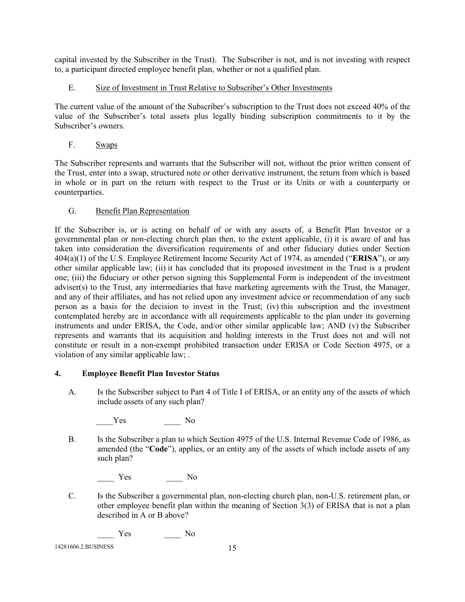capital invested by the Subscriber in the Trust). The Subscriber is not, and is not investing with respect to, a participant directed employee benefit plan, whether or not a qualified plan.

## E. Size of Investment in Trust Relative to Subscriber's Other Investments

The current value of the amount of the Subscriber's subscription to the Trust does not exceed 40% of the value of the Subscriber's total assets plus legally binding subscription commitments to it by the Subscriber's owners.

F. Swaps

The Subscriber represents and warrants that the Subscriber will not, without the prior written consent of the Trust, enter into a swap, structured note or other derivative instrument, the return from which is based in whole or in part on the return with respect to the Trust or its Units or with a counterparty or counterparties.

## G. Benefit Plan Representation

If the Subscriber is, or is acting on behalf of or with any assets of, a Benefit Plan Investor or a governmental plan or non-electing church plan then, to the extent applicable, (i) it is aware of and has taken into consideration the diversification requirements of and other fiduciary duties under Section 404(a)(1) of the U.S. Employee Retirement Income Security Act of 1974, as amended ("ERISA"), or any other similar applicable law; (ii) it has concluded that its proposed investment in the Trust is a prudent one; (iii) the fiduciary or other person signing this Supplemental Form is independent of the investment adviser(s) to the Trust, any intermediaries that have marketing agreements with the Trust, the Manager, and any of their affiliates, and has not relied upon any investment advice or recommendation of any such person as a basis for the decision to invest in the Trust; (iv) this subscription and the investment contemplated hereby are in accordance with all requirements applicable to the plan under its governing instruments and under ERISA, the Code, and/or other similar applicable law; AND (v) the Subscriber represents and warrants that its acquisition and holding interests in the Trust does not and will not constitute or result in a non-exempt prohibited transaction under ERISA or Code Section 4975, or a violation of any similar applicable law; .

## 4. Employee Benefit Plan Investor Status

A. Is the Subscriber subject to Part 4 of Title I of ERISA, or an entity any of the assets of which include assets of any such plan?

Yes No

B. Is the Subscriber a plan to which Section 4975 of the U.S. Internal Revenue Code of 1986, as amended (the "Code"), applies, or an entity any of the assets of which include assets of any such plan?

Yes No

C. Is the Subscriber a governmental plan, non-electing church plan, non-U.S. retirement plan, or other employee benefit plan within the meaning of Section 3(3) of ERISA that is not a plan described in A or B above?

Yes No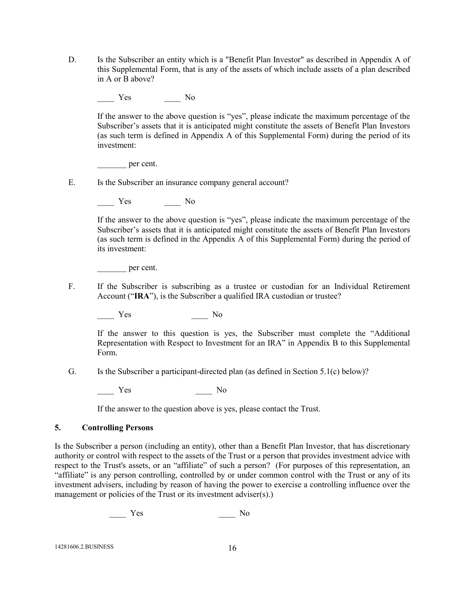D. Is the Subscriber an entity which is a "Benefit Plan Investor" as described in Appendix A of this Supplemental Form, that is any of the assets of which include assets of a plan described in A or B above?

Yes No

If the answer to the above question is "yes", please indicate the maximum percentage of the Subscriber's assets that it is anticipated might constitute the assets of Benefit Plan Investors (as such term is defined in Appendix A of this Supplemental Form) during the period of its investment:

per cent.

E. Is the Subscriber an insurance company general account?

Yes No

If the answer to the above question is "yes", please indicate the maximum percentage of the Subscriber's assets that it is anticipated might constitute the assets of Benefit Plan Investors (as such term is defined in the Appendix A of this Supplemental Form) during the period of its investment:

\_\_\_\_\_\_\_ per cent.

F. If the Subscriber is subscribing as a trustee or custodian for an Individual Retirement Account ("IRA"), is the Subscriber a qualified IRA custodian or trustee?

\_\_\_\_ Yes \_\_\_\_ No

If the answer to this question is yes, the Subscriber must complete the "Additional Representation with Respect to Investment for an IRA" in Appendix B to this Supplemental Form.

G. Is the Subscriber a participant-directed plan (as defined in Section 5.1(c) below)?

Yes No

If the answer to the question above is yes, please contact the Trust.

#### 5. Controlling Persons

Is the Subscriber a person (including an entity), other than a Benefit Plan Investor, that has discretionary authority or control with respect to the assets of the Trust or a person that provides investment advice with respect to the Trust's assets, or an "affiliate" of such a person? (For purposes of this representation, an "affiliate" is any person controlling, controlled by or under common control with the Trust or any of its investment advisers, including by reason of having the power to exercise a controlling influence over the management or policies of the Trust or its investment adviser(s).)

Yes No

14281606.2.BUSINESS 16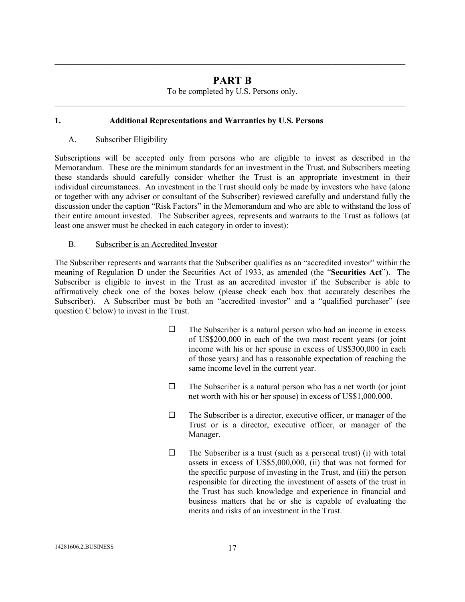## PART B

\_\_\_\_\_\_\_\_\_\_\_\_\_\_\_\_\_\_\_\_\_\_\_\_\_\_\_\_\_\_\_\_\_\_\_\_\_\_\_\_\_\_\_\_\_\_\_\_\_\_\_\_\_\_\_\_\_\_\_\_\_\_\_\_\_\_\_\_\_\_\_\_\_\_\_\_\_

To be completed by U.S. Persons only. \_\_\_\_\_\_\_\_\_\_\_\_\_\_\_\_\_\_\_\_\_\_\_\_\_\_\_\_\_\_\_\_\_\_\_\_\_\_\_\_\_\_\_\_\_\_\_\_\_\_\_\_\_\_\_\_\_\_\_\_\_\_\_\_\_\_\_\_\_\_\_\_\_\_\_\_\_

## 1. Additional Representations and Warranties by U.S. Persons

### A. Subscriber Eligibility

Subscriptions will be accepted only from persons who are eligible to invest as described in the Memorandum. These are the minimum standards for an investment in the Trust, and Subscribers meeting these standards should carefully consider whether the Trust is an appropriate investment in their individual circumstances. An investment in the Trust should only be made by investors who have (alone or together with any adviser or consultant of the Subscriber) reviewed carefully and understand fully the discussion under the caption "Risk Factors" in the Memorandum and who are able to withstand the loss of their entire amount invested. The Subscriber agrees, represents and warrants to the Trust as follows (at least one answer must be checked in each category in order to invest):

## B. Subscriber is an Accredited Investor

The Subscriber represents and warrants that the Subscriber qualifies as an "accredited investor" within the meaning of Regulation D under the Securities Act of 1933, as amended (the "Securities Act"). The Subscriber is eligible to invest in the Trust as an accredited investor if the Subscriber is able to affirmatively check one of the boxes below (please check each box that accurately describes the Subscriber). A Subscriber must be both an "accredited investor" and a "qualified purchaser" (see question C below) to invest in the Trust.

- $\Box$  The Subscriber is a natural person who had an income in excess of US\$200,000 in each of the two most recent years (or joint income with his or her spouse in excess of US\$300,000 in each of those years) and has a reasonable expectation of reaching the same income level in the current year.
- $\Box$  The Subscriber is a natural person who has a net worth (or joint net worth with his or her spouse) in excess of US\$1,000,000.
- $\Box$  The Subscriber is a director, executive officer, or manager of the Trust or is a director, executive officer, or manager of the Manager.
- $\Box$  The Subscriber is a trust (such as a personal trust) (i) with total assets in excess of US\$5,000,000, (ii) that was not formed for the specific purpose of investing in the Trust, and (iii) the person responsible for directing the investment of assets of the trust in the Trust has such knowledge and experience in financial and business matters that he or she is capable of evaluating the merits and risks of an investment in the Trust.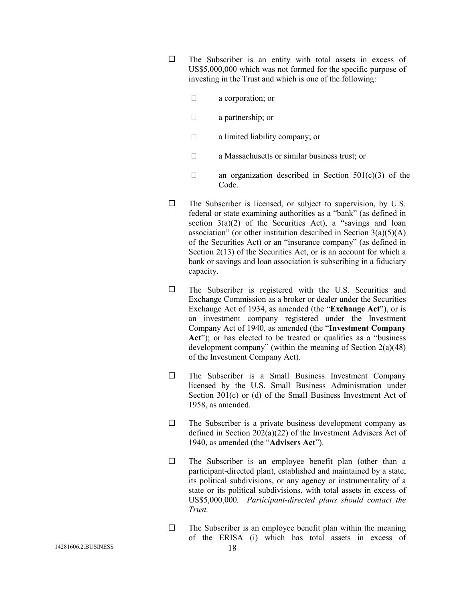$\square$  The Subscriber is an entity with total assets in excess of US\$5,000,000 which was not formed for the specific purpose of investing in the Trust and which is one of the following:

a corporation; or

a partnership; or

a limited liability company; or

a Massachusetts or similar business trust; or

an organization described in Section  $501(c)(3)$  of the Code.

- $\square$  The Subscriber is licensed, or subject to supervision, by U.S. federal or state examining authorities as a "bank" (as defined in section  $3(a)(2)$  of the Securities Act), a "savings and loan association" (or other institution described in Section  $3(a)(5)(A)$ of the Securities Act) or an "insurance company" (as defined in Section 2(13) of the Securities Act, or is an account for which a bank or savings and loan association is subscribing in a fiduciary capacity.
- $\square$  The Subscriber is registered with the U.S. Securities and Exchange Commission as a broker or dealer under the Securities Exchange Act of 1934, as amended (the "Exchange Act"), or is an investment company registered under the Investment Company Act of 1940, as amended (the "Investment Company Act"); or has elected to be treated or qualifies as a "business" development company" (within the meaning of Section 2(a)(48) of the Investment Company Act).
- $\square$  The Subscriber is a Small Business Investment Company licensed by the U.S. Small Business Administration under Section 301(c) or (d) of the Small Business Investment Act of 1958, as amended.
- $\Box$  The Subscriber is a private business development company as defined in Section 202(a)(22) of the Investment Advisers Act of 1940, as amended (the "Advisers Act").
- $\square$  The Subscriber is an employee benefit plan (other than a participant-directed plan), established and maintained by a state, its political subdivisions, or any agency or instrumentality of a state or its political subdivisions, with total assets in excess of US\$5,000,000. Participant-directed plans should contact the Trust.
- $\Box$  The Subscriber is an employee benefit plan within the meaning of the ERISA (i) which has total assets in excess of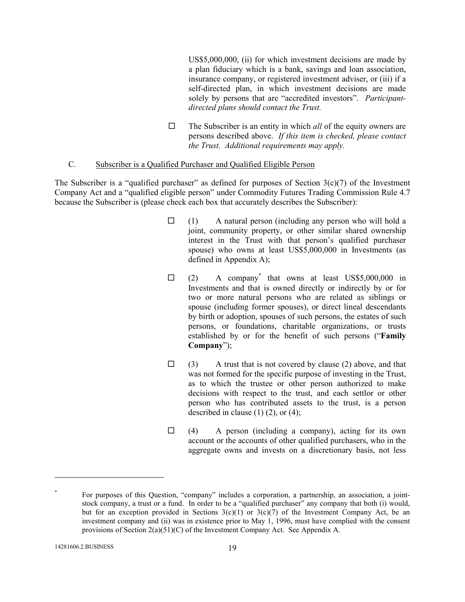US\$5,000,000, (ii) for which investment decisions are made by a plan fiduciary which is a bank, savings and loan association, insurance company, or registered investment adviser, or (iii) if a self-directed plan, in which investment decisions are made solely by persons that are "accredited investors". Participantdirected plans should contact the Trust.

 $\Box$  The Subscriber is an entity in which *all* of the equity owners are persons described above. If this item is checked, please contact the Trust. Additional requirements may apply.

### C. Subscriber is a Qualified Purchaser and Qualified Eligible Person

The Subscriber is a "qualified purchaser" as defined for purposes of Section  $3(c)(7)$  of the Investment Company Act and a "qualified eligible person" under Commodity Futures Trading Commission Rule 4.7 because the Subscriber is (please check each box that accurately describes the Subscriber):

- $\Box$  (1) A natural person (including any person who will hold a joint, community property, or other similar shared ownership interest in the Trust with that person's qualified purchaser spouse) who owns at least US\$5,000,000 in Investments (as defined in Appendix A);
- $\Box$  (2) A company<sup>\*</sup> that owns at least US\$5,000,000 in Investments and that is owned directly or indirectly by or for two or more natural persons who are related as siblings or spouse (including former spouses), or direct lineal descendants by birth or adoption, spouses of such persons, the estates of such persons, or foundations, charitable organizations, or trusts established by or for the benefit of such persons ("Family Company");
- $\Box$  (3) A trust that is not covered by clause (2) above, and that was not formed for the specific purpose of investing in the Trust, as to which the trustee or other person authorized to make decisions with respect to the trust, and each settlor or other person who has contributed assets to the trust, is a person described in clause  $(1)$   $(2)$ , or  $(4)$ ;
- $\Box$  (4) A person (including a company), acting for its own account or the accounts of other qualified purchasers, who in the aggregate owns and invests on a discretionary basis, not less

 $\overline{a}$ 

<sup>\*</sup> For purposes of this Question, "company" includes a corporation, a partnership, an association, a jointstock company, a trust or a fund. In order to be a "qualified purchaser" any company that both (i) would, but for an exception provided in Sections  $3(c)(1)$  or  $3(c)(7)$  of the Investment Company Act, be an investment company and (ii) was in existence prior to May 1, 1996, must have complied with the consent provisions of Section 2(a)(51)(C) of the Investment Company Act. See Appendix A.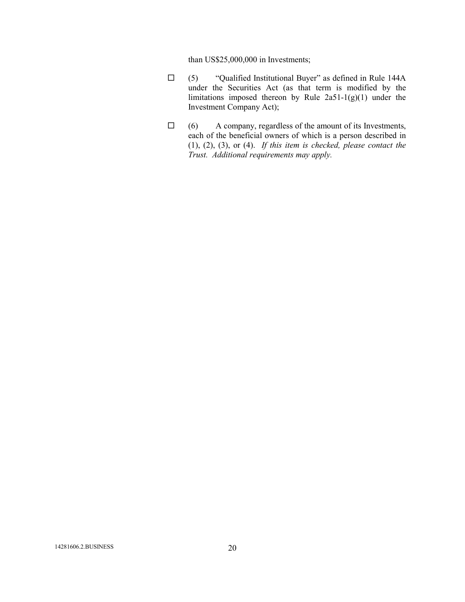than US\$25,000,000 in Investments;

- $\square$  (5) "Qualified Institutional Buyer" as defined in Rule 144A under the Securities Act (as that term is modified by the limitations imposed thereon by Rule 2a51-1(g)(1) under the Investment Company Act);
- $\Box$  (6) A company, regardless of the amount of its Investments, each of the beneficial owners of which is a person described in  $(1), (2), (3),$  or  $(4)$ . If this item is checked, please contact the Trust. Additional requirements may apply.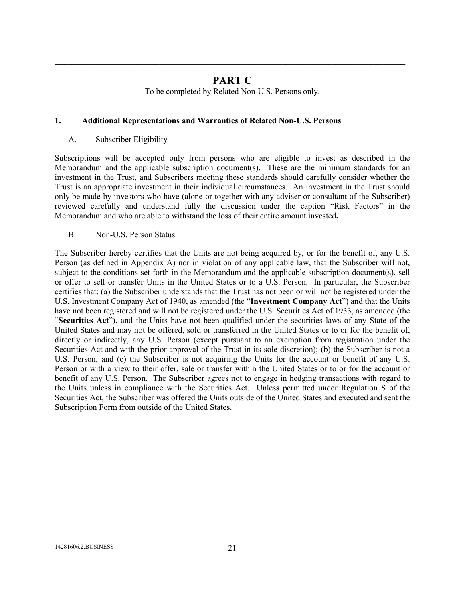## PART C

\_\_\_\_\_\_\_\_\_\_\_\_\_\_\_\_\_\_\_\_\_\_\_\_\_\_\_\_\_\_\_\_\_\_\_\_\_\_\_\_\_\_\_\_\_\_\_\_\_\_\_\_\_\_\_\_\_\_\_\_\_\_\_\_\_\_\_\_\_\_\_\_\_\_\_\_\_

To be completed by Related Non-U.S. Persons only. \_\_\_\_\_\_\_\_\_\_\_\_\_\_\_\_\_\_\_\_\_\_\_\_\_\_\_\_\_\_\_\_\_\_\_\_\_\_\_\_\_\_\_\_\_\_\_\_\_\_\_\_\_\_\_\_\_\_\_\_\_\_\_\_\_\_\_\_\_\_\_\_\_\_\_\_\_

## 1. Additional Representations and Warranties of Related Non-U.S. Persons

### A. Subscriber Eligibility

Subscriptions will be accepted only from persons who are eligible to invest as described in the Memorandum and the applicable subscription document(s). These are the minimum standards for an investment in the Trust, and Subscribers meeting these standards should carefully consider whether the Trust is an appropriate investment in their individual circumstances. An investment in the Trust should only be made by investors who have (alone or together with any adviser or consultant of the Subscriber) reviewed carefully and understand fully the discussion under the caption "Risk Factors" in the Memorandum and who are able to withstand the loss of their entire amount invested.

## B. Non-U.S. Person Status

The Subscriber hereby certifies that the Units are not being acquired by, or for the benefit of, any U.S. Person (as defined in Appendix A) nor in violation of any applicable law, that the Subscriber will not, subject to the conditions set forth in the Memorandum and the applicable subscription document(s), sell or offer to sell or transfer Units in the United States or to a U.S. Person. In particular, the Subscriber certifies that: (a) the Subscriber understands that the Trust has not been or will not be registered under the U.S. Investment Company Act of 1940, as amended (the "Investment Company Act") and that the Units have not been registered and will not be registered under the U.S. Securities Act of 1933, as amended (the "Securities Act"), and the Units have not been qualified under the securities laws of any State of the United States and may not be offered, sold or transferred in the United States or to or for the benefit of, directly or indirectly, any U.S. Person (except pursuant to an exemption from registration under the Securities Act and with the prior approval of the Trust in its sole discretion); (b) the Subscriber is not a U.S. Person; and (c) the Subscriber is not acquiring the Units for the account or benefit of any U.S. Person or with a view to their offer, sale or transfer within the United States or to or for the account or benefit of any U.S. Person. The Subscriber agrees not to engage in hedging transactions with regard to the Units unless in compliance with the Securities Act. Unless permitted under Regulation S of the Securities Act, the Subscriber was offered the Units outside of the United States and executed and sent the Subscription Form from outside of the United States.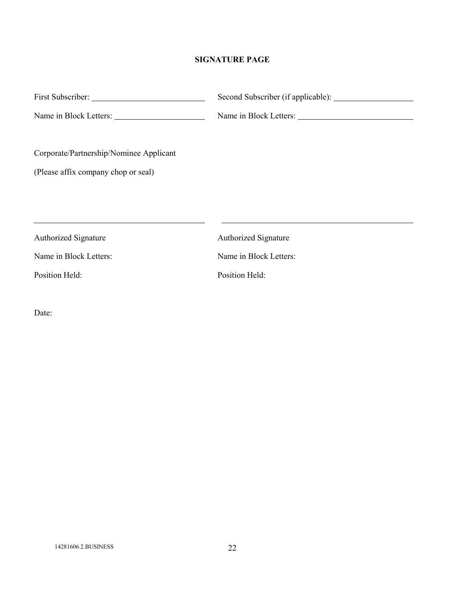## SIGNATURE PAGE

|                                         | Second Subscriber (if applicable): |
|-----------------------------------------|------------------------------------|
|                                         | Name in Block Letters:             |
|                                         |                                    |
| Corporate/Partnership/Nominee Applicant |                                    |
| (Please affix company chop or seal)     |                                    |
|                                         |                                    |
|                                         |                                    |
|                                         |                                    |
| <b>Authorized Signature</b>             | <b>Authorized Signature</b>        |
| Name in Block Letters:                  | Name in Block Letters:             |
| Position Held:                          | Position Held:                     |
|                                         |                                    |

Date: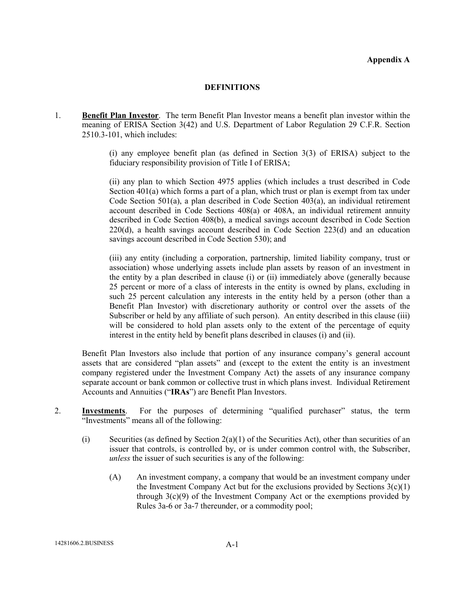#### Appendix A

#### **DEFINITIONS**

1. Benefit Plan Investor. The term Benefit Plan Investor means a benefit plan investor within the meaning of ERISA Section 3(42) and U.S. Department of Labor Regulation 29 C.F.R. Section 2510.3-101, which includes:

> (i) any employee benefit plan (as defined in Section 3(3) of ERISA) subject to the fiduciary responsibility provision of Title I of ERISA;

> (ii) any plan to which Section 4975 applies (which includes a trust described in Code Section 401(a) which forms a part of a plan, which trust or plan is exempt from tax under Code Section 501(a), a plan described in Code Section 403(a), an individual retirement account described in Code Sections 408(a) or 408A, an individual retirement annuity described in Code Section 408(b), a medical savings account described in Code Section 220(d), a health savings account described in Code Section 223(d) and an education savings account described in Code Section 530); and

> (iii) any entity (including a corporation, partnership, limited liability company, trust or association) whose underlying assets include plan assets by reason of an investment in the entity by a plan described in clause (i) or (ii) immediately above (generally because 25 percent or more of a class of interests in the entity is owned by plans, excluding in such 25 percent calculation any interests in the entity held by a person (other than a Benefit Plan Investor) with discretionary authority or control over the assets of the Subscriber or held by any affiliate of such person). An entity described in this clause (iii) will be considered to hold plan assets only to the extent of the percentage of equity interest in the entity held by benefit plans described in clauses (i) and (ii).

Benefit Plan Investors also include that portion of any insurance company's general account assets that are considered "plan assets" and (except to the extent the entity is an investment company registered under the Investment Company Act) the assets of any insurance company separate account or bank common or collective trust in which plans invest. Individual Retirement Accounts and Annuities ("IRAs") are Benefit Plan Investors.

- 2. Investments. For the purposes of determining "qualified purchaser" status, the term "Investments" means all of the following:
	- (i) Securities (as defined by Section  $2(a)(1)$  of the Securities Act), other than securities of an issuer that controls, is controlled by, or is under common control with, the Subscriber, unless the issuer of such securities is any of the following:
		- (A) An investment company, a company that would be an investment company under the Investment Company Act but for the exclusions provided by Sections  $3(c)(1)$ through 3(c)(9) of the Investment Company Act or the exemptions provided by Rules 3a-6 or 3a-7 thereunder, or a commodity pool;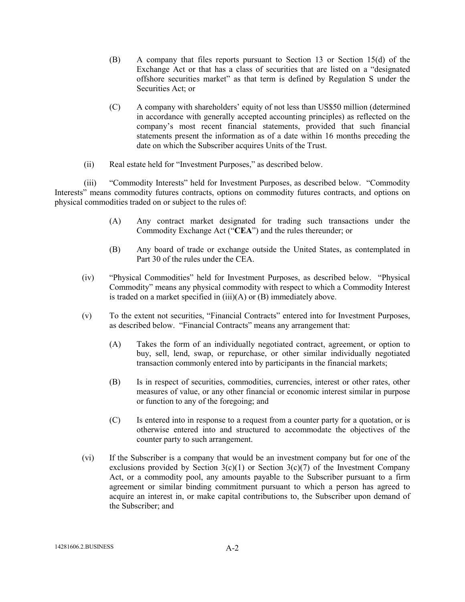- (B) A company that files reports pursuant to Section 13 or Section 15(d) of the Exchange Act or that has a class of securities that are listed on a "designated offshore securities market" as that term is defined by Regulation S under the Securities Act; or
- (C) A company with shareholders' equity of not less than US\$50 million (determined in accordance with generally accepted accounting principles) as reflected on the company's most recent financial statements, provided that such financial statements present the information as of a date within 16 months preceding the date on which the Subscriber acquires Units of the Trust.
- (ii) Real estate held for "Investment Purposes," as described below.

(iii) "Commodity Interests" held for Investment Purposes, as described below. "Commodity Interests" means commodity futures contracts, options on commodity futures contracts, and options on physical commodities traded on or subject to the rules of:

- (A) Any contract market designated for trading such transactions under the Commodity Exchange Act ("CEA") and the rules thereunder; or
- (B) Any board of trade or exchange outside the United States, as contemplated in Part 30 of the rules under the CEA.
- (iv) "Physical Commodities" held for Investment Purposes, as described below. "Physical Commodity" means any physical commodity with respect to which a Commodity Interest is traded on a market specified in (iii)(A) or (B) immediately above.
- (v) To the extent not securities, "Financial Contracts" entered into for Investment Purposes, as described below. "Financial Contracts" means any arrangement that:
	- (A) Takes the form of an individually negotiated contract, agreement, or option to buy, sell, lend, swap, or repurchase, or other similar individually negotiated transaction commonly entered into by participants in the financial markets;
	- (B) Is in respect of securities, commodities, currencies, interest or other rates, other measures of value, or any other financial or economic interest similar in purpose or function to any of the foregoing; and
	- (C) Is entered into in response to a request from a counter party for a quotation, or is otherwise entered into and structured to accommodate the objectives of the counter party to such arrangement.
- (vi) If the Subscriber is a company that would be an investment company but for one of the exclusions provided by Section  $3(c)(1)$  or Section  $3(c)(7)$  of the Investment Company Act, or a commodity pool, any amounts payable to the Subscriber pursuant to a firm agreement or similar binding commitment pursuant to which a person has agreed to acquire an interest in, or make capital contributions to, the Subscriber upon demand of the Subscriber; and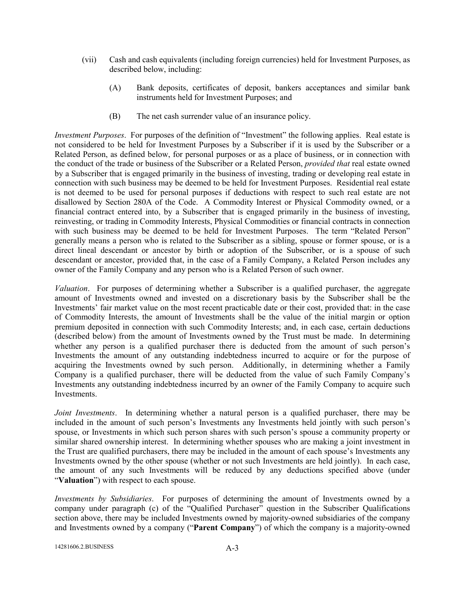- (vii) Cash and cash equivalents (including foreign currencies) held for Investment Purposes, as described below, including:
	- (A) Bank deposits, certificates of deposit, bankers acceptances and similar bank instruments held for Investment Purposes; and
	- (B) The net cash surrender value of an insurance policy.

Investment Purposes. For purposes of the definition of "Investment" the following applies. Real estate is not considered to be held for Investment Purposes by a Subscriber if it is used by the Subscriber or a Related Person, as defined below, for personal purposes or as a place of business, or in connection with the conduct of the trade or business of the Subscriber or a Related Person, *provided that* real estate owned by a Subscriber that is engaged primarily in the business of investing, trading or developing real estate in connection with such business may be deemed to be held for Investment Purposes. Residential real estate is not deemed to be used for personal purposes if deductions with respect to such real estate are not disallowed by Section 280A of the Code. A Commodity Interest or Physical Commodity owned, or a financial contract entered into, by a Subscriber that is engaged primarily in the business of investing, reinvesting, or trading in Commodity Interests, Physical Commodities or financial contracts in connection with such business may be deemed to be held for Investment Purposes. The term "Related Person" generally means a person who is related to the Subscriber as a sibling, spouse or former spouse, or is a direct lineal descendant or ancestor by birth or adoption of the Subscriber, or is a spouse of such descendant or ancestor, provided that, in the case of a Family Company, a Related Person includes any owner of the Family Company and any person who is a Related Person of such owner.

Valuation. For purposes of determining whether a Subscriber is a qualified purchaser, the aggregate amount of Investments owned and invested on a discretionary basis by the Subscriber shall be the Investments' fair market value on the most recent practicable date or their cost, provided that: in the case of Commodity Interests, the amount of Investments shall be the value of the initial margin or option premium deposited in connection with such Commodity Interests; and, in each case, certain deductions (described below) from the amount of Investments owned by the Trust must be made. In determining whether any person is a qualified purchaser there is deducted from the amount of such person's Investments the amount of any outstanding indebtedness incurred to acquire or for the purpose of acquiring the Investments owned by such person. Additionally, in determining whether a Family Company is a qualified purchaser, there will be deducted from the value of such Family Company's Investments any outstanding indebtedness incurred by an owner of the Family Company to acquire such **Investments** 

*Joint Investments*. In determining whether a natural person is a qualified purchaser, there may be included in the amount of such person's Investments any Investments held jointly with such person's spouse, or Investments in which such person shares with such person's spouse a community property or similar shared ownership interest. In determining whether spouses who are making a joint investment in the Trust are qualified purchasers, there may be included in the amount of each spouse's Investments any Investments owned by the other spouse (whether or not such Investments are held jointly). In each case, the amount of any such Investments will be reduced by any deductions specified above (under "Valuation") with respect to each spouse.

Investments by Subsidiaries. For purposes of determining the amount of Investments owned by a company under paragraph (c) of the "Qualified Purchaser" question in the Subscriber Qualifications section above, there may be included Investments owned by majority-owned subsidiaries of the company and Investments owned by a company ("Parent Company") of which the company is a majority-owned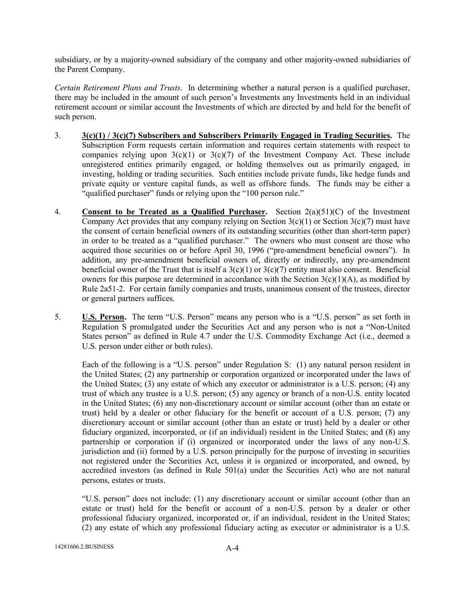subsidiary, or by a majority-owned subsidiary of the company and other majority-owned subsidiaries of the Parent Company.

Certain Retirement Plans and Trusts. In determining whether a natural person is a qualified purchaser, there may be included in the amount of such person's Investments any Investments held in an individual retirement account or similar account the Investments of which are directed by and held for the benefit of such person.

- 3.  $3(c)(1) / 3(c)(7)$  Subscribers and Subscribers Primarily Engaged in Trading Securities. The Subscription Form requests certain information and requires certain statements with respect to companies relying upon  $3(c)(1)$  or  $3(c)(7)$  of the Investment Company Act. These include unregistered entities primarily engaged, or holding themselves out as primarily engaged, in investing, holding or trading securities. Such entities include private funds, like hedge funds and private equity or venture capital funds, as well as offshore funds. The funds may be either a "qualified purchaser" funds or relying upon the "100 person rule."
- 4. Consent to be Treated as a Qualified Purchaser. Section  $2(a)(51)(C)$  of the Investment Company Act provides that any company relying on Section  $3(c)(1)$  or Section  $3(c)(7)$  must have the consent of certain beneficial owners of its outstanding securities (other than short-term paper) in order to be treated as a "qualified purchaser." The owners who must consent are those who acquired those securities on or before April 30, 1996 ("pre-amendment beneficial owners"). In addition, any pre-amendment beneficial owners of, directly or indirectly, any pre-amendment beneficial owner of the Trust that is itself a  $3(c)(1)$  or  $3(c)(7)$  entity must also consent. Beneficial owners for this purpose are determined in accordance with the Section  $3(c)(1)(A)$ , as modified by Rule 2a51-2. For certain family companies and trusts, unanimous consent of the trustees, director or general partners suffices.
- 5. **U.S. Person.** The term "U.S. Person" means any person who is a "U.S. person" as set forth in Regulation S promulgated under the Securities Act and any person who is not a "Non-United States person" as defined in Rule 4.7 under the U.S. Commodity Exchange Act (i.e., deemed a U.S. person under either or both rules).

 Each of the following is a "U.S. person" under Regulation S: (1) any natural person resident in the United States; (2) any partnership or corporation organized or incorporated under the laws of the United States; (3) any estate of which any executor or administrator is a U.S. person; (4) any trust of which any trustee is a U.S. person; (5) any agency or branch of a non-U.S. entity located in the United States; (6) any non-discretionary account or similar account (other than an estate or trust) held by a dealer or other fiduciary for the benefit or account of a U.S. person; (7) any discretionary account or similar account (other than an estate or trust) held by a dealer or other fiduciary organized, incorporated, or (if an individual) resident in the United States; and (8) any partnership or corporation if (i) organized or incorporated under the laws of any non-U.S. jurisdiction and (ii) formed by a U.S. person principally for the purpose of investing in securities not registered under the Securities Act, unless it is organized or incorporated, and owned, by accredited investors (as defined in Rule 501(a) under the Securities Act) who are not natural persons, estates or trusts.

 "U.S. person" does not include: (1) any discretionary account or similar account (other than an estate or trust) held for the benefit or account of a non-U.S. person by a dealer or other professional fiduciary organized, incorporated or, if an individual, resident in the United States; (2) any estate of which any professional fiduciary acting as executor or administrator is a U.S.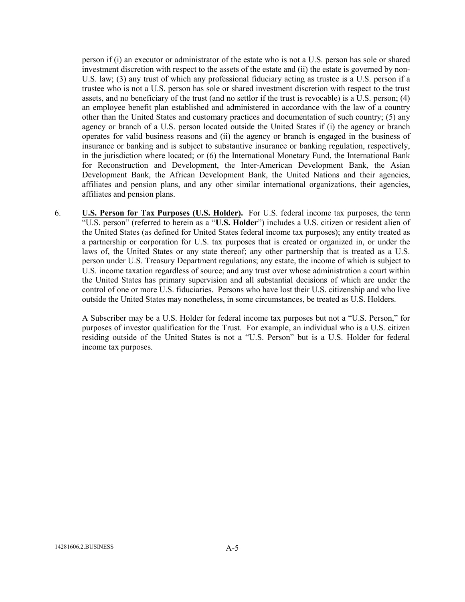person if (i) an executor or administrator of the estate who is not a U.S. person has sole or shared investment discretion with respect to the assets of the estate and (ii) the estate is governed by non-U.S. law; (3) any trust of which any professional fiduciary acting as trustee is a U.S. person if a trustee who is not a U.S. person has sole or shared investment discretion with respect to the trust assets, and no beneficiary of the trust (and no settlor if the trust is revocable) is a U.S. person; (4) an employee benefit plan established and administered in accordance with the law of a country other than the United States and customary practices and documentation of such country; (5) any agency or branch of a U.S. person located outside the United States if (i) the agency or branch operates for valid business reasons and (ii) the agency or branch is engaged in the business of insurance or banking and is subject to substantive insurance or banking regulation, respectively, in the jurisdiction where located; or (6) the International Monetary Fund, the International Bank for Reconstruction and Development, the Inter-American Development Bank, the Asian Development Bank, the African Development Bank, the United Nations and their agencies, affiliates and pension plans, and any other similar international organizations, their agencies, affiliates and pension plans.

6. **U.S. Person for Tax Purposes (U.S. Holder).** For U.S. federal income tax purposes, the term "U.S. person" (referred to herein as a "U.S. Holder") includes a U.S. citizen or resident alien of the United States (as defined for United States federal income tax purposes); any entity treated as a partnership or corporation for U.S. tax purposes that is created or organized in, or under the laws of, the United States or any state thereof; any other partnership that is treated as a U.S. person under U.S. Treasury Department regulations; any estate, the income of which is subject to U.S. income taxation regardless of source; and any trust over whose administration a court within the United States has primary supervision and all substantial decisions of which are under the control of one or more U.S. fiduciaries. Persons who have lost their U.S. citizenship and who live outside the United States may nonetheless, in some circumstances, be treated as U.S. Holders.

A Subscriber may be a U.S. Holder for federal income tax purposes but not a "U.S. Person," for purposes of investor qualification for the Trust. For example, an individual who is a U.S. citizen residing outside of the United States is not a "U.S. Person" but is a U.S. Holder for federal income tax purposes.